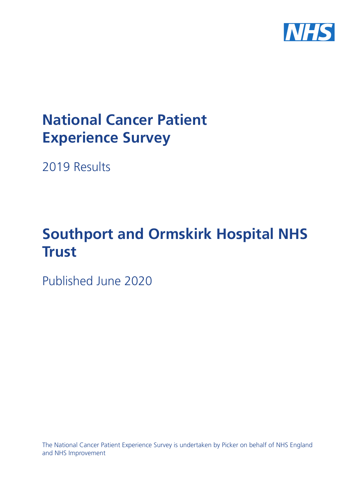

# **National Cancer Patient Experience Survey**

2019 Results

# **Southport and Ormskirk Hospital NHS Trust**

Published June 2020

The National Cancer Patient Experience Survey is undertaken by Picker on behalf of NHS England and NHS Improvement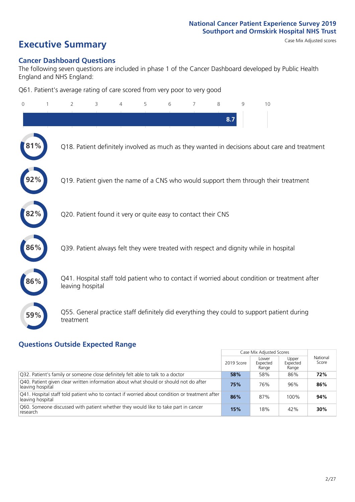# **Executive Summary** Case Mix Adjusted scores

### **Cancer Dashboard Questions**

The following seven questions are included in phase 1 of the Cancer Dashboard developed by Public Health England and NHS England:

Q61. Patient's average rating of care scored from very poor to very good

| $\Omega$ | $\overline{2}$                                                | 3 | 4 | 5 | 6 | $\overline{7}$ | 8   | 9 | 10                                                                                            |
|----------|---------------------------------------------------------------|---|---|---|---|----------------|-----|---|-----------------------------------------------------------------------------------------------|
|          |                                                               |   |   |   |   |                | 8.7 |   |                                                                                               |
| $1\%$    |                                                               |   |   |   |   |                |     |   | Q18. Patient definitely involved as much as they wanted in decisions about care and treatment |
|          |                                                               |   |   |   |   |                |     |   | Q19. Patient given the name of a CNS who would support them through their treatment           |
| 82%      | Q20. Patient found it very or quite easy to contact their CNS |   |   |   |   |                |     |   |                                                                                               |
| 86%      |                                                               |   |   |   |   |                |     |   | Q39. Patient always felt they were treated with respect and dignity while in hospital         |
| 86%      | leaving hospital                                              |   |   |   |   |                |     |   | Q41. Hospital staff told patient who to contact if worried about condition or treatment after |
| 59%      | treatment                                                     |   |   |   |   |                |     |   | Q55. General practice staff definitely did everything they could to support patient during    |

### **Questions Outside Expected Range**

|                                                                                                                   |            | Case Mix Adjusted Scores   |                            |                   |
|-------------------------------------------------------------------------------------------------------------------|------------|----------------------------|----------------------------|-------------------|
|                                                                                                                   | 2019 Score | Lower<br>Expected<br>Range | Upper<br>Expected<br>Range | National<br>Score |
| Q32. Patient's family or someone close definitely felt able to talk to a doctor                                   | 58%        | 58%                        | 86%                        | 72%               |
| Q40. Patient given clear written information about what should or should not do after<br>leaving hospital         | 75%        | 76%                        | 96%                        | 86%               |
| Q41. Hospital staff told patient who to contact if worried about condition or treatment after<br>leaving hospital | 86%        | 87%                        | 100%                       | 94%               |
| Q60. Someone discussed with patient whether they would like to take part in cancer<br>research                    | 15%        | 18%                        | 42%                        | 30%               |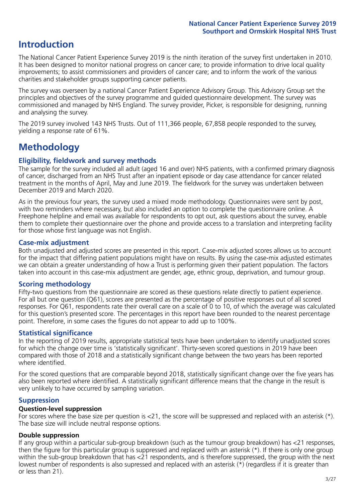# **Introduction**

The National Cancer Patient Experience Survey 2019 is the ninth iteration of the survey first undertaken in 2010. It has been designed to monitor national progress on cancer care; to provide information to drive local quality improvements; to assist commissioners and providers of cancer care; and to inform the work of the various charities and stakeholder groups supporting cancer patients.

The survey was overseen by a national Cancer Patient Experience Advisory Group. This Advisory Group set the principles and objectives of the survey programme and guided questionnaire development. The survey was commissioned and managed by NHS England. The survey provider, Picker, is responsible for designing, running and analysing the survey.

The 2019 survey involved 143 NHS Trusts. Out of 111,366 people, 67,858 people responded to the survey, yielding a response rate of 61%.

# **Methodology**

### **Eligibility, eldwork and survey methods**

The sample for the survey included all adult (aged 16 and over) NHS patients, with a confirmed primary diagnosis of cancer, discharged from an NHS Trust after an inpatient episode or day case attendance for cancer related treatment in the months of April, May and June 2019. The fieldwork for the survey was undertaken between December 2019 and March 2020.

As in the previous four years, the survey used a mixed mode methodology. Questionnaires were sent by post, with two reminders where necessary, but also included an option to complete the questionnaire online. A Freephone helpline and email was available for respondents to opt out, ask questions about the survey, enable them to complete their questionnaire over the phone and provide access to a translation and interpreting facility for those whose first language was not English.

### **Case-mix adjustment**

Both unadjusted and adjusted scores are presented in this report. Case-mix adjusted scores allows us to account for the impact that differing patient populations might have on results. By using the case-mix adjusted estimates we can obtain a greater understanding of how a Trust is performing given their patient population. The factors taken into account in this case-mix adjustment are gender, age, ethnic group, deprivation, and tumour group.

### **Scoring methodology**

Fifty-two questions from the questionnaire are scored as these questions relate directly to patient experience. For all but one question (Q61), scores are presented as the percentage of positive responses out of all scored responses. For Q61, respondents rate their overall care on a scale of 0 to 10, of which the average was calculated for this question's presented score. The percentages in this report have been rounded to the nearest percentage point. Therefore, in some cases the figures do not appear to add up to 100%.

### **Statistical significance**

In the reporting of 2019 results, appropriate statistical tests have been undertaken to identify unadjusted scores for which the change over time is 'statistically significant'. Thirty-seven scored questions in 2019 have been compared with those of 2018 and a statistically significant change between the two years has been reported where identified.

For the scored questions that are comparable beyond 2018, statistically significant change over the five years has also been reported where identified. A statistically significant difference means that the change in the result is very unlikely to have occurred by sampling variation.

### **Suppression**

### **Question-level suppression**

For scores where the base size per question is  $<$ 21, the score will be suppressed and replaced with an asterisk (\*). The base size will include neutral response options.

### **Double suppression**

If any group within a particular sub-group breakdown (such as the tumour group breakdown) has <21 responses, then the figure for this particular group is suppressed and replaced with an asterisk (\*). If there is only one group within the sub-group breakdown that has <21 respondents, and is therefore suppressed, the group with the next lowest number of respondents is also supressed and replaced with an asterisk (\*) (regardless if it is greater than or less than 21).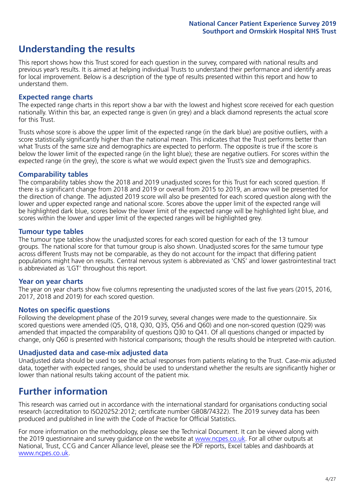# **Understanding the results**

This report shows how this Trust scored for each question in the survey, compared with national results and previous year's results. It is aimed at helping individual Trusts to understand their performance and identify areas for local improvement. Below is a description of the type of results presented within this report and how to understand them.

### **Expected range charts**

The expected range charts in this report show a bar with the lowest and highest score received for each question nationally. Within this bar, an expected range is given (in grey) and a black diamond represents the actual score for this Trust.

Trusts whose score is above the upper limit of the expected range (in the dark blue) are positive outliers, with a score statistically significantly higher than the national mean. This indicates that the Trust performs better than what Trusts of the same size and demographics are expected to perform. The opposite is true if the score is below the lower limit of the expected range (in the light blue); these are negative outliers. For scores within the expected range (in the grey), the score is what we would expect given the Trust's size and demographics.

### **Comparability tables**

The comparability tables show the 2018 and 2019 unadjusted scores for this Trust for each scored question. If there is a significant change from 2018 and 2019 or overall from 2015 to 2019, an arrow will be presented for the direction of change. The adjusted 2019 score will also be presented for each scored question along with the lower and upper expected range and national score. Scores above the upper limit of the expected range will be highlighted dark blue, scores below the lower limit of the expected range will be highlighted light blue, and scores within the lower and upper limit of the expected ranges will be highlighted grey.

### **Tumour type tables**

The tumour type tables show the unadjusted scores for each scored question for each of the 13 tumour groups. The national score for that tumour group is also shown. Unadjusted scores for the same tumour type across different Trusts may not be comparable, as they do not account for the impact that differing patient populations might have on results. Central nervous system is abbreviated as 'CNS' and lower gastrointestinal tract is abbreviated as 'LGT' throughout this report.

### **Year on year charts**

The year on year charts show five columns representing the unadjusted scores of the last five years (2015, 2016, 2017, 2018 and 2019) for each scored question.

#### **Notes on specific questions**

Following the development phase of the 2019 survey, several changes were made to the questionnaire. Six scored questions were amended (Q5, Q18, Q30, Q35, Q56 and Q60) and one non-scored question (Q29) was amended that impacted the comparability of questions Q30 to Q41. Of all questions changed or impacted by change, only Q60 is presented with historical comparisons; though the results should be interpreted with caution.

### **Unadjusted data and case-mix adjusted data**

Unadjusted data should be used to see the actual responses from patients relating to the Trust. Case-mix adjusted data, together with expected ranges, should be used to understand whether the results are significantly higher or lower than national results taking account of the patient mix.

# **Further information**

This research was carried out in accordance with the international standard for organisations conducting social research (accreditation to ISO20252:2012; certificate number GB08/74322). The 2019 survey data has been produced and published in line with the Code of Practice for Official Statistics.

For more information on the methodology, please see the Technical Document. It can be viewed along with the 2019 questionnaire and survey quidance on the website at [www.ncpes.co.uk](https://www.ncpes.co.uk/supporting-documents). For all other outputs at National, Trust, CCG and Cancer Alliance level, please see the PDF reports, Excel tables and dashboards at [www.ncpes.co.uk.](https://www.ncpes.co.uk/current-results)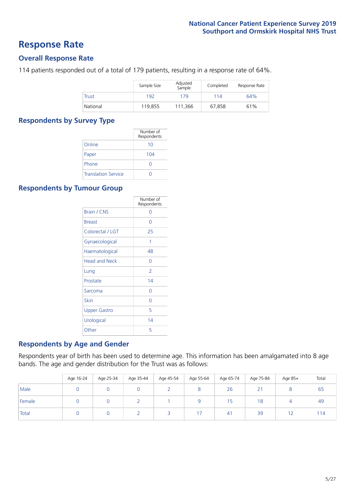### **Response Rate**

### **Overall Response Rate**

114 patients responded out of a total of 179 patients, resulting in a response rate of 64%.

|              | Sample Size | Adjusted<br>Sample | Completed | Response Rate |
|--------------|-------------|--------------------|-----------|---------------|
| <b>Trust</b> | 192         | 179                | 114       | 64%           |
| National     | 119,855     | 111,366            | 67.858    | 61%           |

### **Respondents by Survey Type**

|                            | Number of<br>Respondents |
|----------------------------|--------------------------|
| Online                     | 10                       |
| Paper                      | 104                      |
| Phone                      |                          |
| <b>Translation Service</b> |                          |

### **Respondents by Tumour Group**

|                      | Number of<br>Respondents |
|----------------------|--------------------------|
| <b>Brain / CNS</b>   | ∩                        |
| <b>Breast</b>        | Ω                        |
| Colorectal / LGT     | 25                       |
| Gynaecological       | 1                        |
| Haematological       | 48                       |
| <b>Head and Neck</b> | Ω                        |
| Lung                 | $\overline{2}$           |
| Prostate             | 14                       |
| Sarcoma              | Ω                        |
| Skin                 | Ω                        |
| <b>Upper Gastro</b>  | 5                        |
| Urological           | 14                       |
| Other                | 5                        |

### **Respondents by Age and Gender**

Respondents year of birth has been used to determine age. This information has been amalgamated into 8 age bands. The age and gender distribution for the Trust was as follows:

|        | Age 16-24 | Age 25-34 | Age 35-44 | Age 45-54 | Age 55-64 | Age 65-74 | Age 75-84               | Age 85+ | Total |
|--------|-----------|-----------|-----------|-----------|-----------|-----------|-------------------------|---------|-------|
| Male   |           |           |           |           | $\circ$   | 26        | $\sim$<br>$\mathcal{L}$ |         | 65    |
| Female |           |           |           |           |           | 15        | 18                      |         | 49    |
| Total  |           |           |           |           | 17        | 41        | 39                      |         | 114   |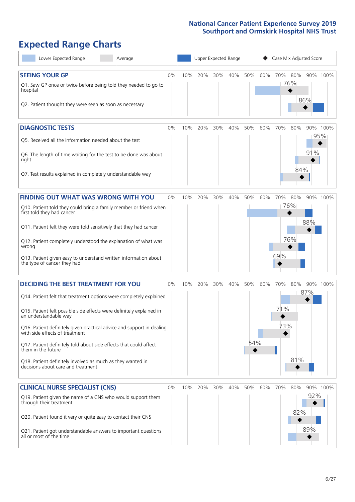# **Expected Range Charts**

| Lower Expected Range<br>Average                                                                                                                                                                                                                                                                                                                                                                                                                                                                                             |       |     | Upper Expected Range |     |     |                 |     | Case Mix Adjusted Score  |                   |                        |  |
|-----------------------------------------------------------------------------------------------------------------------------------------------------------------------------------------------------------------------------------------------------------------------------------------------------------------------------------------------------------------------------------------------------------------------------------------------------------------------------------------------------------------------------|-------|-----|----------------------|-----|-----|-----------------|-----|--------------------------|-------------------|------------------------|--|
| <b>SEEING YOUR GP</b><br>Q1. Saw GP once or twice before being told they needed to go to<br>hospital<br>Q2. Patient thought they were seen as soon as necessary                                                                                                                                                                                                                                                                                                                                                             | 0%    | 10% | 20%                  | 30% | 40% | 50%             | 60% | 70% 80%<br>76%           | 86%               | 90% 100%               |  |
| <b>DIAGNOSTIC TESTS</b><br>Q5. Received all the information needed about the test<br>Q6. The length of time waiting for the test to be done was about<br>right<br>Q7. Test results explained in completely understandable way                                                                                                                                                                                                                                                                                               | 0%    | 10% | 20%                  | 30% | 40% | 50%             | 60% | 70%                      | 80%<br>84%        | 90% 100%<br>95%<br>91% |  |
| <b>FINDING OUT WHAT WAS WRONG WITH YOU</b><br>Q10. Patient told they could bring a family member or friend when<br>first told they had cancer<br>Q11. Patient felt they were told sensitively that they had cancer<br>Q12. Patient completely understood the explanation of what was<br>wrong<br>Q13. Patient given easy to understand written information about<br>the type of cancer they had                                                                                                                             | 0%    | 10% | 20%                  | 30% | 40% | 50%             | 60% | 70%<br>76%<br>76%<br>69% | 80%               | 90% 100%<br>88%        |  |
| <b>DECIDING THE BEST TREATMENT FOR YOU</b><br>Q14. Patient felt that treatment options were completely explained<br>Q15. Patient felt possible side effects were definitely explained in<br>an understandable way<br>Q16. Patient definitely given practical advice and support in dealing<br>with side effects of treatment<br>Q17. Patient definitely told about side effects that could affect<br>them in the future<br>Q18. Patient definitely involved as much as they wanted in<br>decisions about care and treatment | $0\%$ | 10% | 20%                  | 30% | 40% | 50%<br>54%<br>◆ | 60% | 70%<br>71%<br>73%        | 80%<br>87%<br>81% | 90% 100%               |  |
| <b>CLINICAL NURSE SPECIALIST (CNS)</b><br>Q19. Patient given the name of a CNS who would support them<br>through their treatment<br>Q20. Patient found it very or quite easy to contact their CNS<br>Q21. Patient got understandable answers to important questions<br>all or most of the time                                                                                                                                                                                                                              | $0\%$ | 10% | 20%                  | 30% | 40% | 50%             | 60% | 70%                      | 80%<br>82%        | 90% 100%<br>92%<br>89% |  |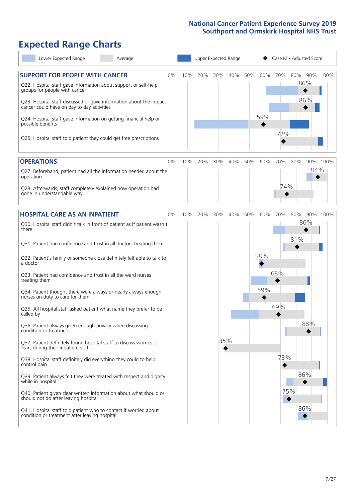# **Expected Range Charts**

| Lower Expected Range<br>Average                                                                                   |     |     | Upper Expected Range |     |            | Case Mix Adjusted Score |
|-------------------------------------------------------------------------------------------------------------------|-----|-----|----------------------|-----|------------|-------------------------|
| <b>SUPPORT FOR PEOPLE WITH CANCER</b><br>0%                                                                       | 10% | 20% | 30%<br>40%           | 50% | 60%<br>70% | 80%<br>90% 100%         |
| Q22. Hospital staff gave information about support or self-help<br>groups for people with cancer                  |     |     |                      |     |            | 86%                     |
| Q23. Hospital staff discussed or gave information about the impact<br>cancer could have on day to day activities  |     |     |                      |     |            | 86%                     |
| Q24. Hospital staff gave information on getting financial help or<br>possible benefits                            |     |     |                      |     | 59%        |                         |
| Q25. Hospital staff told patient they could get free prescriptions                                                |     |     |                      |     | 72%        |                         |
| <b>OPERATIONS</b><br>0%                                                                                           | 10% | 20% | 30%<br>40%           | 50% | 70%<br>60% | 90% 100%<br>80%         |
| Q27. Beforehand, patient had all the information needed about the<br>operation                                    |     |     |                      |     |            | 94%                     |
| Q28. Afterwards, staff completely explained how operation had<br>gone in understandable way                       |     |     |                      |     | 74%        |                         |
| <b>HOSPITAL CARE AS AN INPATIENT</b><br>0%                                                                        | 10% | 20% | 40%<br>30%           | 50% | 60%<br>70% | 80%<br>90% 100%         |
| Q30. Hospital staff didn't talk in front of patient as if patient wasn't<br>there                                 |     |     |                      |     |            | 86%                     |
| Q31. Patient had confidence and trust in all doctors treating them                                                |     |     |                      |     |            | 81%                     |
| Q32. Patient's family or someone close definitely felt able to talk to<br>a doctor                                |     |     |                      |     | 58%        |                         |
| Q33. Patient had confidence and trust in all the ward nurses<br>treating them                                     |     |     |                      |     | 68%        |                         |
| Q34. Patient thought there were always or nearly always enough<br>nurses on duty to care for them                 |     |     |                      |     | 59%        |                         |
| Q35. All hospital staff asked patient what name they prefer to be<br>called by                                    |     |     |                      |     | 69%        |                         |
| Q36. Patient always given enough privacy when discussing<br>condition or treatment                                |     |     |                      |     |            | 88%                     |
| Q37. Patient definitely found hospital staff to discuss worries or<br>fears during their inpatient visit          |     |     | 35%                  |     |            |                         |
| Q38. Hospital staff definitely did everything they could to help<br>control pain                                  |     |     |                      |     | 73%        |                         |
| Q39. Patient always felt they were treated with respect and dignity<br>while in hospital                          |     |     |                      |     |            | 86%                     |
| Q40. Patient given clear written information about what should or<br>should not do after leaving hospital         |     |     |                      |     |            | 75%                     |
| Q41. Hospital staff told patient who to contact if worried about<br>condition or treatment after leaving hospital |     |     |                      |     |            | 86%                     |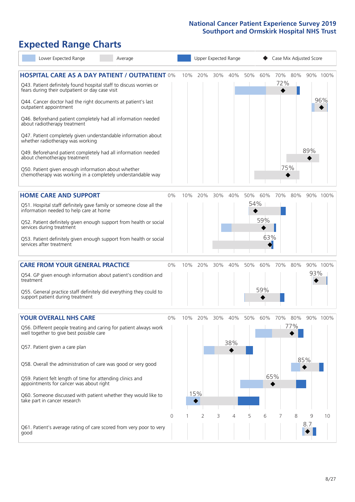# **Expected Range Charts**

| Lower Expected Range                                                                                                  | Average |          |     |     |        | Upper Expected Range |     |     | Case Mix Adjusted Score |     |     |          |
|-----------------------------------------------------------------------------------------------------------------------|---------|----------|-----|-----|--------|----------------------|-----|-----|-------------------------|-----|-----|----------|
| <b>HOSPITAL CARE AS A DAY PATIENT / OUTPATIENT 0%</b>                                                                 |         |          | 10% | 20% | 30%    | 40%                  | 50% | 60% | 70%<br>72%              | 80% |     | 90% 100% |
| Q43. Patient definitely found hospital staff to discuss worries or<br>fears during their outpatient or day case visit |         |          |     |     |        |                      |     |     |                         |     |     |          |
| Q44. Cancer doctor had the right documents at patient's last<br>outpatient appointment                                |         |          |     |     |        |                      |     |     |                         |     |     | 96%      |
| Q46. Beforehand patient completely had all information needed<br>about radiotherapy treatment                         |         |          |     |     |        |                      |     |     |                         |     |     |          |
| Q47. Patient completely given understandable information about<br>whether radiotherapy was working                    |         |          |     |     |        |                      |     |     |                         |     |     |          |
| Q49. Beforehand patient completely had all information needed<br>about chemotherapy treatment                         |         |          |     |     |        |                      |     |     |                         |     | 89% |          |
| Q50. Patient given enough information about whether<br>chemotherapy was working in a completely understandable way    |         |          |     |     |        |                      |     |     | 75%                     |     |     |          |
| <b>HOME CARE AND SUPPORT</b>                                                                                          |         | 0%       | 10% | 20% | $30\%$ | 40%                  | 50% | 60% | 70%                     | 80% |     | 90% 100% |
| Q51. Hospital staff definitely gave family or someone close all the<br>information needed to help care at home        |         |          |     |     |        |                      | 54% |     |                         |     |     |          |
| Q52. Patient definitely given enough support from health or social<br>services during treatment                       |         |          |     |     |        |                      |     | 59% |                         |     |     |          |
| Q53. Patient definitely given enough support from health or social<br>services after treatment                        |         |          |     |     |        |                      |     | 63% |                         |     |     |          |
| <b>CARE FROM YOUR GENERAL PRACTICE</b>                                                                                |         | 0%       | 10% | 20% | 30%    | 40%                  | 50% | 60% | 70%                     | 80% |     | 90% 100% |
| Q54. GP given enough information about patient's condition and<br>treatment                                           |         |          |     |     |        |                      |     |     |                         |     | 93% |          |
| Q55. General practice staff definitely did everything they could to<br>support patient during treatment               |         |          |     |     |        |                      |     | 59% |                         |     |     |          |
| <b>YOUR OVERALL NHS CARE</b>                                                                                          |         | 0%       | 10% | 20% | 30%    | 40%                  | 50% | 60% | 70%                     | 80% |     | 90% 100% |
| Q56. Different people treating and caring for patient always work<br>well together to give best possible care         |         |          |     |     |        |                      |     |     |                         | 77% |     |          |
| Q57. Patient given a care plan                                                                                        |         |          |     |     |        | 38%                  |     |     |                         |     |     |          |
| Q58. Overall the administration of care was good or very good                                                         |         |          |     |     |        |                      |     |     |                         |     | 85% |          |
| Q59. Patient felt length of time for attending clinics and<br>appointments for cancer was about right                 |         |          |     |     |        |                      |     |     | 65%                     |     |     |          |
| Q60. Someone discussed with patient whether they would like to<br>take part in cancer research                        |         |          |     | 15% |        |                      |     |     |                         |     |     |          |
|                                                                                                                       |         | $\Omega$ |     | 2   | 3      | 4                    | 5   | 6   |                         | 8   |     | 10       |
| Q61. Patient's average rating of care scored from very poor to very<br>good                                           |         |          |     |     |        |                      |     |     |                         |     | 8.7 |          |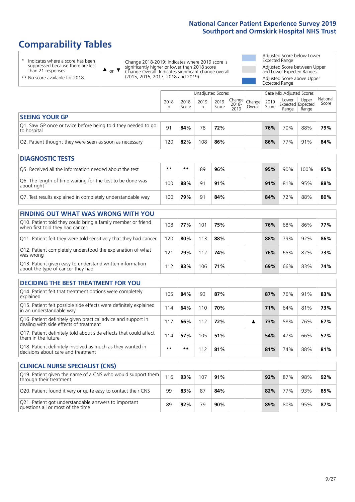# **Comparability Tables**

\* Indicates where a score has been suppressed because there are less than 21 responses.

\*\* No score available for 2018.

 $\triangle$  or  $\nabla$ 

Change 2018-2019: Indicates where 2019 score is significantly higher or lower than 2018 score Change Overall: Indicates significant change overall (2015, 2016, 2017, 2018 and 2019).

Adjusted Score below Lower Expected Range Adjusted Score between Upper and Lower Expected Ranges Adjusted Score above Upper Expected Range

|                                                                             | Case Mix Adjusted Scores<br>Unadjusted Scores |               |           |               |                                                    |         |               |                                     |                |                   |
|-----------------------------------------------------------------------------|-----------------------------------------------|---------------|-----------|---------------|----------------------------------------------------|---------|---------------|-------------------------------------|----------------|-------------------|
|                                                                             | 2018                                          | 2018<br>Score | 2019<br>n | 2019<br>Score | $\sim$   Change   Change   $\sim$<br>2018-<br>2019 | Overall | 2019<br>Score | Lower<br>Expected Expected<br>Range | Upper<br>Range | National<br>Score |
| <b>SEEING YOUR GP</b>                                                       |                                               |               |           |               |                                                    |         |               |                                     |                |                   |
| Q1. Saw GP once or twice before being told they needed to go<br>to hospital | 91                                            | 84%           | 78        | 72%           |                                                    |         | 76%           | 70%                                 | 88%            | 79%               |
| Q2. Patient thought they were seen as soon as necessary                     | 120                                           | 82%           | 108       | 86%           |                                                    |         | 86%           | 77%                                 | 91%            | 84%               |

| <b>DIAGNOSTIC TESTS</b>                                                   |      |     |    |     |     |     |      |     |
|---------------------------------------------------------------------------|------|-----|----|-----|-----|-----|------|-----|
| O5. Received all the information needed about the test                    | $**$ | **  | 89 | 96% | 95% | 90% | 100% | 95% |
| Q6. The length of time waiting for the test to be done was<br>about right | 100  | 88% | 91 | 91% | 91% | 81% | 95%  | 88% |
| Q7. Test results explained in completely understandable way               | 100  | 79% | 91 | 84% | 84% | 72% | 88%  | 80% |

| <b>FINDING OUT WHAT WAS WRONG WITH YOU</b>                                                      |     |     |     |     |     |     |     |     |
|-------------------------------------------------------------------------------------------------|-----|-----|-----|-----|-----|-----|-----|-----|
| Q10. Patient told they could bring a family member or friend<br>when first told they had cancer | 108 | 77% | 101 | 75% | 76% | 68% | 86% | 77% |
| Q11. Patient felt they were told sensitively that they had cancer                               | 120 | 80% | 113 | 88% | 88% | 79% | 92% | 86% |
| Q12. Patient completely understood the explanation of what<br>was wrong                         | 121 | 79% | 112 | 74% | 76% | 65% | 82% | 73% |
| Q13. Patient given easy to understand written information<br>about the type of cancer they had  | 112 | 83% | 106 | 71% | 69% | 66% | 83% | 74% |

| <b>DECIDING THE BEST TREATMENT FOR YOU</b>                                                              |      |     |     |     |  |     |     |     |     |
|---------------------------------------------------------------------------------------------------------|------|-----|-----|-----|--|-----|-----|-----|-----|
| Q14. Patient felt that treatment options were completely<br>explained                                   | 105  | 84% | 93  | 87% |  | 87% | 76% | 91% | 83% |
| Q15. Patient felt possible side effects were definitely explained<br>in an understandable way           | 14   | 64% | 110 | 70% |  | 71% | 64% | 81% | 73% |
| Q16. Patient definitely given practical advice and support in<br>dealing with side effects of treatment | 17،  | 66% | 112 | 72% |  | 73% | 58% | 76% | 67% |
| Q17. Patient definitely told about side effects that could affect<br>them in the future                 | 114  | 57% | 105 | 51% |  | 54% | 47% | 66% | 57% |
| Q18. Patient definitely involved as much as they wanted in<br>decisions about care and treatment        | $**$ | **  | -12 | 81% |  | 81% | 74% | 88% | 81% |

| <b>CLINICAL NURSE SPECIALIST (CNS)</b>                                                    |     |     |     |     |     |     |     |     |
|-------------------------------------------------------------------------------------------|-----|-----|-----|-----|-----|-----|-----|-----|
| Q19. Patient given the name of a CNS who would support them<br>through their treatment    | 116 | 93% | 107 | 91% | 92% | 87% | 98% | 92% |
| Q20. Patient found it very or quite easy to contact their CNS                             | -99 | 83% | 87  | 84% | 82% | 77% | 93% | 85% |
| Q21. Patient got understandable answers to important<br>questions all or most of the time | 89  | 92% | 79  | 90% | 89% | 80% | 95% | 87% |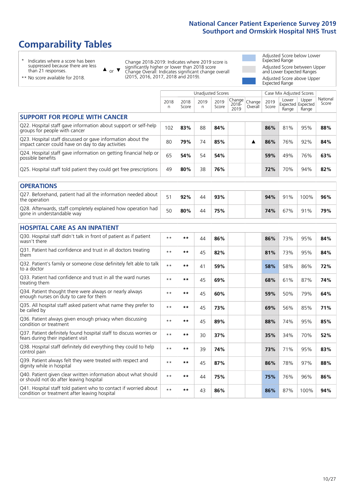# **Comparability Tables**

\* Indicates where a score has been suppressed because there are less than 21 responses.

\*\* No score available for 2018.

 $\triangle$  or  $\nabla$ 

Change 2018-2019: Indicates where 2019 score is significantly higher or lower than 2018 score Change Overall: Indicates significant change overall (2015, 2016, 2017, 2018 and 2019).

Adjusted Score below Lower Expected Range Adjusted Score between Upper and Lower Expected Ranges Adjusted Score above Upper Expected Range

|                                                                                                                   |              |               |           | Unadjusted Scores |                         |                   |               | Case Mix Adjusted Scores            |                |                   |
|-------------------------------------------------------------------------------------------------------------------|--------------|---------------|-----------|-------------------|-------------------------|-------------------|---------------|-------------------------------------|----------------|-------------------|
|                                                                                                                   | 2018<br>n    | 2018<br>Score | 2019<br>n | 2019<br>Score     | Change<br>2018-<br>2019 | Change<br>Overall | 2019<br>Score | Lower<br>Expected Expected<br>Range | Upper<br>Range | National<br>Score |
| <b>SUPPORT FOR PEOPLE WITH CANCER</b>                                                                             |              |               |           |                   |                         |                   |               |                                     |                |                   |
| Q22. Hospital staff gave information about support or self-help<br>groups for people with cancer                  | 102          | 83%           | 88        | 84%               |                         |                   | 86%           | 81%                                 | 95%            | 88%               |
| Q23. Hospital staff discussed or gave information about the<br>impact cancer could have on day to day activities  | 80           | 79%           | 74        | 85%               |                         | ▲                 | 86%           | 76%                                 | 92%            | 84%               |
| Q24. Hospital staff gave information on getting financial help or<br>possible benefits                            | 65           | 54%           | 54        | 54%               |                         |                   | 59%           | 49%                                 | 76%            | 63%               |
| Q25. Hospital staff told patient they could get free prescriptions                                                | 49           | 80%           | 38        | 76%               |                         |                   | 72%           | 70%                                 | 94%            | 82%               |
| <b>OPERATIONS</b>                                                                                                 |              |               |           |                   |                         |                   |               |                                     |                |                   |
| Q27. Beforehand, patient had all the information needed about<br>the operation                                    | 51           | 92%           | 44        | 93%               |                         |                   | 94%           | 91%                                 | 100%           | 96%               |
| Q28. Afterwards, staff completely explained how operation had<br>gone in understandable way                       | 50           | 80%           | 44        | 75%               |                         |                   | 74%           | 67%                                 | 91%            | 79%               |
| <b>HOSPITAL CARE AS AN INPATIENT</b>                                                                              |              |               |           |                   |                         |                   |               |                                     |                |                   |
| Q30. Hospital staff didn't talk in front of patient as if patient<br>wasn't there                                 | $\star\star$ | $***$         | 44        | 86%               |                         |                   | 86%           | 73%                                 | 95%            | 84%               |
| Q31. Patient had confidence and trust in all doctors treating<br>them                                             | $**$         | $***$         | 45        | 82%               |                         |                   | 81%           | 73%                                 | 95%            | 84%               |
| Q32. Patient's family or someone close definitely felt able to talk<br>to a doctor                                | $\star\star$ | $***$         | 41        | 59%               |                         |                   | 58%           | 58%                                 | 86%            | 72%               |
| Q33. Patient had confidence and trust in all the ward nurses<br>treating them                                     | $* *$        | **            | 45        | 69%               |                         |                   | 68%           | 61%                                 | 87%            | 74%               |
| Q34. Patient thought there were always or nearly always<br>enough nurses on duty to care for them                 | $**$         | $***$         | 45        | 60%               |                         |                   | 59%           | 50%                                 | 79%            | 64%               |
| Q35. All hospital staff asked patient what name they prefer to<br>be called by                                    | $**$         | $***$         | 45        | 73%               |                         |                   | 69%           | 56%                                 | 85%            | 71%               |
| Q36. Patient always given enough privacy when discussing<br>condition or treatment                                | $* *$        | $***$         | 45        | 89%               |                         |                   | 88%           | 74%                                 | 95%            | 85%               |
| Q37. Patient definitely found hospital staff to discuss worries or<br>fears during their inpatient visit          | $* *$        | **            | 30        | 37%               |                         |                   | 35%           | 34%                                 | 70%            | 52%               |
| Q38. Hospital staff definitely did everything they could to help<br>control pain                                  | $* *$        | $***$         | 39        | 74%               |                         |                   | 73%           | 71%                                 | 95%            | 83%               |
| Q39. Patient always felt they were treated with respect and<br>dignity while in hospital                          | $\star\star$ | **            | 45        | 87%               |                         |                   | 86%           | 78%                                 | 97%            | 88%               |
| Q40. Patient given clear written information about what should<br>or should not do after leaving hospital         | $**$         | $***$         | 44        | 75%               |                         |                   | 75%           | 76%                                 | 96%            | 86%               |
| Q41. Hospital staff told patient who to contact if worried about<br>condition or treatment after leaving hospital | $**$         | **            | 43        | 86%               |                         |                   | 86%           | 87%                                 | 100%           | 94%               |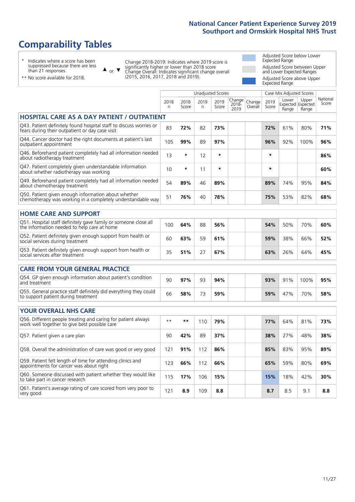# **Comparability Tables**

\* Indicates where a score has been suppressed because there are less than 21 responses.

\*\* No score available for 2018.

 $\triangle$  or  $\nabla$ 

Change 2018-2019: Indicates where 2019 score is significantly higher or lower than 2018 score Change Overall: Indicates significant change overall (2015, 2016, 2017, 2018 and 2019).

Adjusted Score below Lower Expected Range Adjusted Score between Upper and Lower Expected Ranges Adjusted Score above Upper Expected Range

|                                                                                                                       |              |               |            | <b>Unadjusted Scores</b> |                            |                   |               | Case Mix Adjusted Scores            |                |                   |
|-----------------------------------------------------------------------------------------------------------------------|--------------|---------------|------------|--------------------------|----------------------------|-------------------|---------------|-------------------------------------|----------------|-------------------|
|                                                                                                                       | 2018<br>n.   | 2018<br>Score | 2019<br>n. | 2019<br>Score            | Change<br>$2018 -$<br>2019 | Change<br>Overall | 2019<br>Score | Lower<br>Expected Expected<br>Range | Upper<br>Range | National<br>Score |
| <b>HOSPITAL CARE AS A DAY PATIENT / OUTPATIENT</b>                                                                    |              |               |            |                          |                            |                   |               |                                     |                |                   |
| Q43. Patient definitely found hospital staff to discuss worries or<br>fears during their outpatient or day case visit | 83           | 72%           | 82         | 73%                      |                            |                   | 72%           | 61%                                 | 80%            | 71%               |
| Q44. Cancer doctor had the right documents at patient's last<br>outpatient appointment                                | 105          | 99%           | 89         | 97%                      |                            |                   | 96%           | 92%                                 | 100%           | 96%               |
| Q46. Beforehand patient completely had all information needed<br>about radiotherapy treatment                         | 13           | $\star$       | 12         | $\star$                  |                            |                   | $\star$       |                                     |                | 86%               |
| Q47. Patient completely given understandable information<br>about whether radiotherapy was working                    | 10           | *             | 11         | $\star$                  |                            |                   | $\star$       |                                     |                | 60%               |
| Q49. Beforehand patient completely had all information needed<br>about chemotherapy treatment                         | 54           | 89%           | 46         | 89%                      |                            |                   | 89%           | 74%                                 | 95%            | 84%               |
| Q50. Patient given enough information about whether<br>chemotherapy was working in a completely understandable way    | 51           | 76%           | 40         | 78%                      |                            |                   | 75%           | 53%                                 | 82%            | 68%               |
| <b>HOME CARE AND SUPPORT</b>                                                                                          |              |               |            |                          |                            |                   |               |                                     |                |                   |
| Q51. Hospital staff definitely gave family or someone close all<br>the information needed to help care at home        | 100          | 64%           | 88         | 56%                      |                            |                   | 54%           | 50%                                 | 70%            | 60%               |
| Q52. Patient definitely given enough support from health or<br>social services during treatment                       | 60           | 63%           | 59         | 61%                      |                            |                   | 59%           | 38%                                 | 66%            | 52%               |
| Q53. Patient definitely given enough support from health or<br>social services after treatment                        | 35           | 51%           | 27         | 67%                      |                            |                   | 63%           | 26%                                 | 64%            | 45%               |
| <b>CARE FROM YOUR GENERAL PRACTICE</b>                                                                                |              |               |            |                          |                            |                   |               |                                     |                |                   |
| Q54. GP given enough information about patient's condition<br>and treatment                                           | 90           | 97%           | 93         | 94%                      |                            |                   | 93%           | 91%                                 | 100%           | 95%               |
| Q55. General practice staff definitely did everything they could<br>to support patient during treatment               | 66           | 58%           | 73         | 59%                      |                            |                   | 59%           | 47%                                 | 70%            | 58%               |
| <b>YOUR OVERALL NHS CARE</b>                                                                                          |              |               |            |                          |                            |                   |               |                                     |                |                   |
| Q56. Different people treating and caring for patient always<br>work well together to give best possible care         | $\star\star$ | $***$         | 110        | 79%                      |                            |                   | 77%           | 64%                                 | 81%            | 73%               |
| Q57. Patient given a care plan                                                                                        | 90           | 42%           | 89         | 37%                      |                            |                   | 38%           | 27%                                 | 48%            | 38%               |
| Q58. Overall the administration of care was good or very good                                                         | 121          | 91%           | 112        | 86%                      |                            |                   | 85%           | 83%                                 | 95%            | 89%               |
| Q59. Patient felt length of time for attending clinics and<br>appointments for cancer was about right                 | 123          | 66%           | 112        | 66%                      |                            |                   | 65%           | 59%                                 | 80%            | 69%               |
| Q60. Someone discussed with patient whether they would like<br>to take part in cancer research                        | 115          | 17%           | 106        | 15%                      |                            |                   | 15%           | 18%                                 | 42%            | 30%               |
| Q61. Patient's average rating of care scored from very poor to<br>very good                                           | 121          | 8.9           | 109        | 8.8                      |                            |                   | 8.7           | 8.5                                 | 9.1            | 8.8               |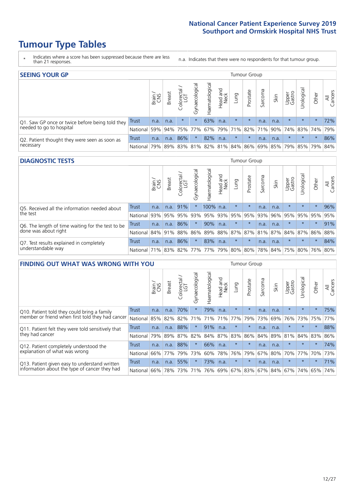# **Tumour Type Tables**

- \* Indicates where a score has been suppressed because there are less than 21 responses.
- n.a. Indicates that there were no respondents for that tumour group.

| <b>SEEING YOUR GP</b>                           |            |              |               |                   |                |                |                             |         | Tumour Group |         |      |                 |                                                 |         |                |
|-------------------------------------------------|------------|--------------|---------------|-------------------|----------------|----------------|-----------------------------|---------|--------------|---------|------|-----------------|-------------------------------------------------|---------|----------------|
|                                                 |            | Brain<br>CNS | <b>Breast</b> | Colorectal<br>LGT | Gynaecological | Haematological | Head and<br>Neck            | Lung    | Prostate     | Sarcoma | Skin | Upper<br>Gastro | $\overline{\sigma}$<br>Jrologica                | Other   | All<br>Cancers |
| Q1. Saw GP once or twice before being told they | Trust      | n.a.         | n.a.          | $\star$           |                | 63%            | n.a.                        | $\star$ | $\star$      | n.a.    | n.a. | $\star$         | $\star$                                         | $\star$ | 72%            |
| needed to go to hospital                        | National I | 59%          |               |                   |                |                | 94% 75% 77% 67% 79% 71% 82% |         |              |         |      |                 | 71% 90% 74% 83% 74% 79%                         |         |                |
| Q2. Patient thought they were seen as soon as   | Trust      | n.a.         | n.a.          | 86%               | $\star$        | 82%            | n.a.                        | $\star$ | $\star$      | n.a.    | n.a. | $\star$         | $\star$                                         | $\star$ | 86%            |
| necessary                                       | National I | 79%          |               |                   |                |                |                             |         |              |         |      |                 | 89% 83% 81% 82% 81% 84% 86% 69% 85% 79% 85% 79% |         | 84%            |

#### **DIAGNOSTIC TESTS** Tumour Group

|                                                   |                      | Brain<br>CNS | <b>Breast</b> | Colorectal<br>LGT | Gynaecological | Haematological | Head and<br>Neck | Lung    | Prostate | Sarcoma | Skin | Upper<br>Gastro | Jrological                                          | Other   | All<br>Cancers |
|---------------------------------------------------|----------------------|--------------|---------------|-------------------|----------------|----------------|------------------|---------|----------|---------|------|-----------------|-----------------------------------------------------|---------|----------------|
| Q5. Received all the information needed about     | <b>Trust</b>         | n.a.         | n.a.          | 91%               |                | 100% n.a.      |                  | $\star$ | $\star$  | n.a.    | n.a. | $\star$         | $\star$                                             | $\star$ | 96%            |
| the test                                          | National             | 93%          | 95%           | 95%               | 93%            | 95% 93% 95%    |                  |         | 95%      | 93%     | 96%  | 95%             | 95%                                                 | 95%     | 95%            |
| Q6. The length of time waiting for the test to be | Trust                | n.a.         | n.a.          | 86%               | $\star$        | 90%            | n.a.             | $\star$ | $\star$  | n.a.    | n.a. | $\star$         | $\star$                                             | $\star$ | 91%            |
| done was about right                              | National 84% 91% 88% |              |               |                   |                |                |                  |         |          |         |      |                 | 86% 89% 88% 87% 87% 81% 87% 84% 87% 86% 88%         |         |                |
| Q7. Test results explained in completely          | <b>Trust</b>         | n.a.         | n.a.          | 86%               |                | 83%            | n.a.             | $\star$ | $\star$  | n.a.    | n.a. | $\star$         | $\star$                                             | $\star$ | 84%            |
| understandable way                                | National 71%         |              |               |                   |                |                |                  |         |          |         |      |                 | 83% 82% 77% 77% 79% 80% 80% 78% 84% 75% 80% 76% 80% |         |                |

| <b>FINDING OUT WHAT WAS WRONG WITH YOU</b>        |              |       |               |                                 |                |                |                        |             | Tumour Group |         |         |                 |            |         |                |
|---------------------------------------------------|--------------|-------|---------------|---------------------------------|----------------|----------------|------------------------|-------------|--------------|---------|---------|-----------------|------------|---------|----------------|
|                                                   |              | Brain | <b>Breast</b> | ╮<br>olorectal<br>LGT<br>$\cup$ | Gynaecological | Haematological | ad and<br>Neck<br>Head | Lung        | Prostate     | Sarcoma | Skin    | Upper<br>Gastro | Jrological | Other   | All<br>Cancers |
| Q10. Patient told they could bring a family       | <b>Trust</b> | n.a.  | n.a.          | 70%                             | $\star$        | 79%            | n.a.                   | $\star$     | $\star$      | n.a.    | n.a.    | $\star$         | $\star$    | $\star$ | 75%            |
| member or friend when first told they had cancer  | National     | 85%   | 82%           | 82%                             | 71%            | 71%            | 71%                    | 77%         | 79%          | 73%     | 69%     | 76%             | 73%        | 75%     | 77%            |
| Q11. Patient felt they were told sensitively that | Trust        | n.a.  | n.a.          | 88%                             | $\star$        | 91%            | n.a.                   | $\star$     | $\star$      | n.a.    | n.a.    | $\star$         | $\star$    | $\star$ | 88%            |
| they had cancer                                   | National     | 79%   | 89%           | 87%                             | 82%            |                | 84% 87%                | 83%         | 86%          | 84%     | 89%     | 81%             | 84% 83%    |         | 86%            |
| Q12. Patient completely understood the            | Trust        | n.a.  | n.a.          | 88%                             | $\star$        | 66%            | n.a.                   | $\star$     | $\star$      | n.a.    | n.a.    | $\star$         | $\star$    | $\star$ | 74%            |
| explanation of what was wrong                     | National     | 66%   | 77%           | 79%                             | 73%            | 60%            | 78%                    | 76%         | 79%          | 67%     | 80%     | 70%             | 77%        | 70%     | 73%            |
| Q13. Patient given easy to understand written     | Trust        | n.a.  | n.a.          | 55%                             |                | 73%            | n.a.                   | $\star$     | $\star$      | n.a.    | n.a.    | $\star$         | $\star$    | $\star$ | 71%            |
| information about the type of cancer they had     | National     | 66%   | 78%           | 73%                             | 71%            | 76%            |                        | 69% 67% 83% |              |         | 67% 84% | 67%             | 74%        | 65%     | 74%            |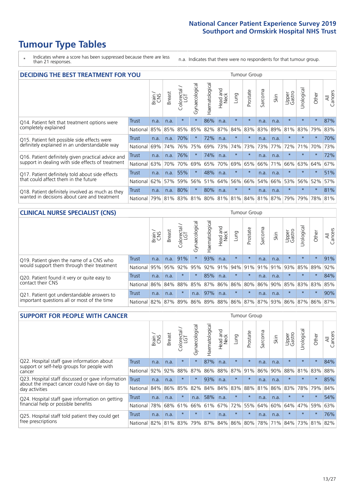# **Tumour Type Tables**

\* Indicates where a score has been suppressed because there are less than 21 responses.

n.a. Indicates that there were no respondents for that tumour group.

| <b>DECIDING THE BEST TREATMENT FOR YOU</b>         |          |       |               |                             |                |                |                         |         | Tumour Group |                                         |      |                 |            |         |                |
|----------------------------------------------------|----------|-------|---------------|-----------------------------|----------------|----------------|-------------------------|---------|--------------|-----------------------------------------|------|-----------------|------------|---------|----------------|
|                                                    |          | Brain | <b>Breast</b> | olorectal.<br>LGT<br>$\cup$ | Gynaecological | Haematological | ead and<br>Neck<br>Head | Lung    | Prostate     | arcoma<br>$\sqrt{ }$                    | Skin | Upper<br>Gastro | Jrological | Other   | All<br>Cancers |
| Q14. Patient felt that treatment options were      | Trust    | n.a.  | n.a.          | $\star$                     | $\star$        | 86%            | n.a.                    | $\star$ | $\star$      | n.a.                                    | n.a. | $\star$         | $\star$    | $\star$ | 87%            |
| completely explained                               | National | 85%   | 85%           | 85%                         | 85%            | 82%            | 87%                     | 84%     | 83%          | 83%                                     | 89%  | 81%             | 83%        | 79%     | 83%            |
| Q15. Patient felt possible side effects were       | Trust    | n.a.  | n.a.          | 70%                         |                | 72%            | n.a.                    | $\star$ | $\star$      | n.a.                                    | n.a. | $\star$         | $\star$    | $\star$ | 70%            |
| definitely explained in an understandable way      | National | 69%   | 74%           | 76%                         | 75%            | 69%            | 73%                     | 74%     | 73%          | 73%                                     | 77%  | 72%             | 71%        | 70%     | 73%            |
| Q16. Patient definitely given practical advice and | Trust    | n.a.  | n.a.          | 76%                         |                | 74%            | n.a.                    | $\star$ | $\star$      | n.a.                                    | n.a. | $\star$         | $\star$    | $\star$ | 72%            |
| support in dealing with side effects of treatment  | National | 63%   | 70%           | 70%                         | 69%            | 65%            | 70%                     | 69%     | 65%          | 66%                                     | 71%  | 66%             | 63%        | 64%     | 67%            |
| Q17. Patient definitely told about side effects    | Trust    | n.a.  | n.a.          | 55%                         |                | 48%            | n.a.                    | $\star$ | $\star$      | n.a.                                    | n.a. | $\star$         | $\star$    | $\star$ | 51%            |
| that could affect them in the future               | National | 62%   | 57%           | 59%                         | 56%            | 51%            | 64%                     | 56%     | 66%          | 54%                                     | 66%  | 53%             | 56%        | 52%     | 57%            |
| Q18. Patient definitely involved as much as they   | Trust    | n.a.  | n.a.          | 80%                         | $\star$        | 80%            | n.a.                    | $\star$ | $\star$      | n.a.                                    | n.a. | $\star$         | $\star$    | $\star$ | 81%            |
| wanted in decisions about care and treatment       | National | 79%   |               |                             |                |                |                         |         |              | 81% 83% 81% 80% 81% 81% 84% 81% 87% 79% |      |                 | 79%        | 78% 81% |                |

#### **CLINICAL NURSE SPECIALIST (CNS)** Tumour Group

|                                             |              | Brain | <b>Breast</b> | Colorectal<br>LGT | $\sigma$<br>Gynaecologic | Haematological | Head and<br>Neck | Lung     | Prostate | Sarcoma | Skin                        | Upper<br>Gastro | Urologica       | Other   | All<br>Cancers |
|---------------------------------------------|--------------|-------|---------------|-------------------|--------------------------|----------------|------------------|----------|----------|---------|-----------------------------|-----------------|-----------------|---------|----------------|
| Q19. Patient given the name of a CNS who    | <b>Trust</b> | n.a.  | n.a.          | 91%               |                          | 93%            | n.a.             | $\star$  | $\star$  | n.a.    | n.a.                        | $\star$         | $\star$         | $\star$ | 91%            |
| would support them through their treatment  | National     | 95%   | 95%           | 92%               | 95%                      |                | 92% 91%          | $ 94\% $ | 91%      | 91%     | 91%                         | 93%             | 85%             | 89%     | 92%            |
| Q20. Patient found it very or quite easy to | Trust        | n.a.  | n.a.          |                   |                          | 85%            | n.a.             | $\star$  | $\star$  | n.a.    | n.a.                        | $\star$         | $\star$         | $\star$ | 84%            |
| contact their CNS                           | National     | 86%   | 84%           | 88%               | 85%                      |                | 87% 86% 86%      |          | 80%      | 86%     | 90%                         | 85%             | 83% 83% 85%     |         |                |
| Q21. Patient got understandable answers to  | Trust        | n.a.  | n.a.          |                   | n.a.                     | 97%            | n.a.             | $\star$  | $\star$  | n.a.    | n.a.                        | $\star$         | $\star$         | $\star$ | 90%            |
| important questions all or most of the time | National     | 82%   | 87%           | 89%               |                          |                |                  |          |          |         | 86% 89% 88% 86% 87% 87% 93% |                 | 86% 87% 86% 87% |         |                |

| <b>SUPPORT FOR PEOPLE WITH CANCER</b>                                                             |              |       |               |                        |                |                |                        |             | <b>Tumour Group</b> |         |      |                 |           |         |                |
|---------------------------------------------------------------------------------------------------|--------------|-------|---------------|------------------------|----------------|----------------|------------------------|-------------|---------------------|---------|------|-----------------|-----------|---------|----------------|
|                                                                                                   |              | Brain | <b>Breast</b> | olorectal.<br>LGT<br>Ũ | Gynaecological | Haematological | ad and<br>Neck<br>Head | Lung        | Prostate            | Sarcoma | Skin | Upper<br>Gastro | Jrologica | Other   | All<br>Cancers |
| Q22. Hospital staff gave information about<br>support or self-help groups for people with         | <b>Trust</b> | n.a.  | n.a.          | $\star$                | $\star$        | 87%            | n.a.                   | $\star$     | $\star$             | n.a.    | n.a. | $\star$         | $\star$   | $\star$ | 84%            |
| cancer                                                                                            | National     | 92%   | 92%           | 88%                    | 87%            | 86%            | 88%                    | 87%         | 91%                 | 86%     | 90%  | 88%             | 81%       | 83%     | 88%            |
| Q23. Hospital staff discussed or gave information<br>about the impact cancer could have on day to | Trust        | n.a.  | n.a.          | $\star$                | $\star$        | 93%            | n.a.                   | $\star$     | $\star$             | n.a.    | n.a. | $\star$         | $\star$   | $\star$ | 85%            |
| day activities                                                                                    | National     | 84%   | 86%           | 85%                    | 82%            | 84%            | 84%                    | 83%         | 88%                 | 81%     | 86%  | 83%             | 78%       | 79%     | 84%            |
| Q24. Hospital staff gave information on getting                                                   | Trust        | n.a.  | n.a.          | $\star$                | n.a.           | 58%            | n.a.                   | $\star$     | $\star$             | n.a.    | n.a. | $\star$         | $\star$   | $\star$ | 54%            |
| financial help or possible benefits                                                               | National     | 78%   | 68%           | 61%                    | 66%            | 61%            | 67%                    | 72%         | 55%                 | 64%     | 60%  | 64%             | 47%       | 59%     | 63%            |
| Q25. Hospital staff told patient they could get                                                   | Trust        | n.a.  | n.a.          | $\star$                | $\star$        | $\star$        | n.a.                   | $\star$     | $\star$             | n.a.    | n.a. | $\star$         | $\star$   | $\ast$  | 76%            |
| free prescriptions                                                                                | National     | 82%   |               | 81% 83%                | 79%            | 87%            |                        | 84% 86% 80% |                     | 78%     | 71%  | 84%             | 73%       | 81%     | 82%            |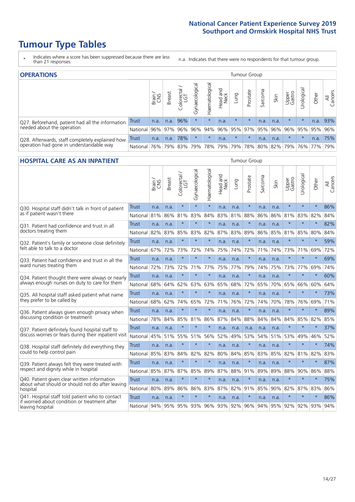# **Tumour Type Tables**

\* Indicates where a score has been suppressed because there are less than 21 responses.

n.a. Indicates that there were no respondents for that tumour group.

| <b>OPERATIONS</b>                                |          |              |               |                   |                |                |                  |         | Tumour Group |         |                     |                     |            |           |                |
|--------------------------------------------------|----------|--------------|---------------|-------------------|----------------|----------------|------------------|---------|--------------|---------|---------------------|---------------------|------------|-----------|----------------|
|                                                  |          | Brain<br>CNS | <b>Breast</b> | Colorectal<br>LGT | Gynaecological | Haematological | Head and<br>Neck | Lung    | Prostate     | Sarcoma | Skin                | Upper<br>Gastro     | Urological | Other     | All<br>Cancers |
| Q27. Beforehand, patient had all the information | Trust    | n.a.         | n.a.          | 96%               | $\star$        | $\star$        | n.a.             | $\star$ | $\star$      | n.a.    | n.a.                | $\star$             | $\star$    | n.a.      | 93%            |
| needed about the operation                       | National | 96%          | 97%           | 96%               | 96%            | 94%            |                  |         |              |         | 96% 95% 97% 95% 96% | 96%                 |            | 95% 95%   | 96%            |
| Q28. Afterwards, staff completely explained how  | Trust    | n.a.         | n.a.          | 78%               | $\star$        | $\star$        | n.a.             | $\star$ | $\star$      | n.a.    | n.a.                | $\star$             | $\star$    | n.a.      | 75%            |
| operation had gone in understandable way         | National | 76%          |               | 79% 83%           | 79%            |                | 78% 79%          |         |              |         |                     | 79% 78% 80% 82% 79% |            | 76%   77% | 79%            |

### **HOSPITAL CARE AS AN INPATIENT** Tumour Group

|                                                                                                  |              | Brain | <b>Breast</b> | Colorectal /<br>LGT | Gynaecological | Haematological | Head and<br>Neck | Lung    | Prostate | Sarcoma | Skin | Upper<br>Gastro | Urological | Other   | Cancers<br>$\overline{\overline{A}}$ |
|--------------------------------------------------------------------------------------------------|--------------|-------|---------------|---------------------|----------------|----------------|------------------|---------|----------|---------|------|-----------------|------------|---------|--------------------------------------|
| Q30. Hospital staff didn't talk in front of patient                                              | Trust        | n.a.  | n.a.          | $\star$             | $\star$        | $\star$        | n.a.             | n.a.    | $\star$  | n.a.    | n.a. | $\star$         | $\star$    | $\star$ | 86%                                  |
| as if patient wasn't there                                                                       | National     | 81%   | 86%           | 81%                 | 83%            | 84%            | 83%              | 81%     | 88%      | 86%     | 86%  | 81%             | 83%        | 82%     | 84%                                  |
| 031. Patient had confidence and trust in all                                                     | Trust        | n.a.  | n.a.          | $\star$             | $\star$        | $\star$        | n.a.             | n.a.    | $\star$  | n.a.    | n.a. |                 | $\star$    | $\star$ | 82%                                  |
| doctors treating them                                                                            | National     | 82%   | 83%           | 85%                 | 83%            | 82%            | 87%              | 83%     | 89%      | 86%     | 85%  | 81%             | 85%        | 80%     | 84%                                  |
| Q32. Patient's family or someone close definitely                                                | Trust        | n.a.  | n.a.          | $\star$             | $\star$        | $\star$        | n.a.             | n.a.    | $\star$  | n.a.    | n.a. |                 | $\star$    | $\star$ | 59%                                  |
| felt able to talk to a doctor                                                                    | National     | 67%   | 72%           | 73%                 | 72%            | 74%            | 75%              | 74%     | 72%      | 71%     | 74%  | 73%             | 71%        | 69%     | 72%                                  |
| Q33. Patient had confidence and trust in all the                                                 | <b>Trust</b> | n.a.  | n.a.          | $\star$             | $\star$        | $\star$        | n.a.             | n.a.    | $\star$  | n.a.    | n.a. | $\star$         | $\star$    | $\star$ | 69%                                  |
| ward nurses treating them                                                                        | National     | 72%   | 73%           | 72%                 | 71%            | 77%            | 75%              | 77%     | 79%      | 74%     | 75%  | 73%             | 77%        | 69%     | 74%                                  |
| Q34. Patient thought there were always or nearly                                                 | <b>Trust</b> | n.a.  | n.a.          | $\star$             | $\star$        | $\star$        | n.a.             | n.a.    | $\star$  | n.a.    | n.a. | $\star$         | $\star$    | $\star$ | 60%                                  |
| always enough nurses on duty to care for them                                                    | National     | 68%   | 64%           | 62%                 | 63%            | 63%            | 65%              | 68%     | 72%      | 65%     | 70%  | 65%             | 66%        | 60%     | 64%                                  |
| Q35. All hospital staff asked patient what name                                                  | Trust        | n.a.  | n.a.          | $\star$             | $\star$        | $\star$        | n.a.             | n.a.    | $\star$  | n.a.    | n.a. |                 | $\star$    | $\star$ | 73%                                  |
| they prefer to be called by                                                                      | National     | 68%   | 62%           | 74%                 | 65%            | 72%            | 71%              | 76%     | 72%      | 74%     | 70%  | 78%             | 76%        | 69%     | 71%                                  |
| Q36. Patient always given enough privacy when                                                    | Trust        | n.a.  | n.a.          | $\star$             | $\star$        | $\star$        | n.a.             | n.a.    | $\star$  | n.a.    | n.a. | $\star$         | $\star$    | $\star$ | 89%                                  |
| discussing condition or treatment                                                                | National     | 78%   | 84%           | 85%                 | 81%            | 86%            | 87%              | 84%     | 88%      | 84%     | 84%  | 84%             | 85%        | 82%     | 85%                                  |
| Q37. Patient definitely found hospital staff to                                                  | <b>Trust</b> | n.a.  | n.a.          | $\star$             | $\star$        | $\star$        | n.a.             | n.a.    | n.a.     | n.a.    | n.a. | $\star$         | $\star$    | $\star$ | 37%                                  |
| discuss worries or fears during their inpatient visit                                            | National     | 45%   | 51%           | 55%                 | 51%            | 56%            | 52%              | 49%     | 53%      | 54%     | 51%  | 53%             | 49%        | 46%     | 52%                                  |
| Q38. Hospital staff definitely did everything they                                               | <b>Trust</b> | n.a.  | n.a.          | $\star$             | $\star$        | $\star$        | n.a.             | n.a.    | $\star$  | n.a.    | n.a. | $\star$         | $\star$    | $\star$ | 74%                                  |
| could to help control pain                                                                       | National     | 85%   | 83%           | 84%                 | 82%            | 82%            | 80%              | 84%     | 85%      | 83%     | 85%  | 82%             | 81%        | 82%     | 83%                                  |
| Q39. Patient always felt they were treated with                                                  | Trust        | n.a.  | n.a.          | $\star$             | $\star$        | $\star$        | n.a.             | n.a.    | $\star$  | n.a.    | n.a. | $\star$         | $\star$    | $\star$ | 87%                                  |
| respect and dignity while in hospital                                                            | National     | 85%   | 87%           | 87%                 | 85%            | 89%            | 87%              | 88%     | 91%      | 89%     | 89%  | 88%             | 90%        | 86%     | 88%                                  |
| Q40. Patient given clear written information<br>about what should or should not do after leaving | Trust        | n.a.  | n.a.          | $\star$             | $\star$        | $\star$        | n.a.             | n.a.    | $\star$  | n.a.    | n.a. |                 | $\star$    | $\star$ | 75%                                  |
| hospital                                                                                         | National     | 80%   | 89%           | 86%                 | 86%            | 83%            | 87%              | 82%     | 91%      | 85%     | 90%  | 82%             | 87%        | 83%     | 86%                                  |
| Q41. Hospital staff told patient who to contact<br>if worried about condition or treatment after | <b>Trust</b> | n.a.  | n.a.          | $\star$             | $\star$        | $\star$        | n.a.             | n.a.    | $\star$  | n.a.    | n.a. | $\star$         | $\star$    | $\star$ | 86%                                  |
| leaving hospital                                                                                 | National I   | 94%   | 95%           |                     | 95% 93%        | 96%            |                  | 93% 92% | 96%      | 94%     |      | 95% 92%         | 92%        | 93%     | 94%                                  |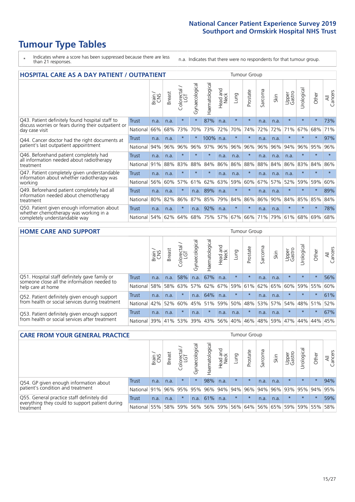# **Tumour Type Tables**

- \* Indicates where a score has been suppressed because there are less than 21 responses.
- n.a. Indicates that there were no respondents for that tumour group.

| <b>HOSPITAL CARE AS A DAY PATIENT / OUTPATIENT</b>                                                                    |              |       |               |                                 |                |                |                         |         | <b>Tumour Group</b> |         |      |                 |            |         |                |  |  |  |  |  |  |  |  |
|-----------------------------------------------------------------------------------------------------------------------|--------------|-------|---------------|---------------------------------|----------------|----------------|-------------------------|---------|---------------------|---------|------|-----------------|------------|---------|----------------|--|--|--|--|--|--|--|--|
|                                                                                                                       |              | Brain | <b>Breast</b> | ╮<br>olorectal<br>LGT<br>$\cup$ | Gynaecological | Haematological | ead and<br>Neck<br>Head | Lung    | Prostate            | Sarcoma | Skin | Upper<br>Gastro | Urological | Other   | All<br>Cancers |  |  |  |  |  |  |  |  |
| Q43. Patient definitely found hospital staff to                                                                       | Trust        | n.a.  | n.a.          | $\star$                         | $\star$        | 87%            | n.a.                    | $\star$ | $\star$             | n.a.    | n.a. | $\star$         | $\star$    | $\star$ | 73%            |  |  |  |  |  |  |  |  |
| discuss worries or fears during their outpatient or<br>day case visit                                                 | National     | 66%   | 68%           | 73%                             | 70%            | 73%            | 72%                     | 70%     | 74%                 | 72%     | 72%  | 71%             | 67%        | 68%     | 71%            |  |  |  |  |  |  |  |  |
| Q44. Cancer doctor had the right documents at<br>patient's last outpatient appointment                                | Trust        | n.a.  | n.a.          | $\star$                         | $^\star$       | 100% n.a.      |                         | $\star$ | $\star$             | n.a.    | n.a. | $\star$         | $\star$    | $\ast$  | 97%            |  |  |  |  |  |  |  |  |
|                                                                                                                       | National     | 94%   | 96%           | 96%                             | 96%            | 97%            | 96%                     | 96%     | 96%                 | 96%     | 96%  | 94%             | 96%        | 95%     | 96%            |  |  |  |  |  |  |  |  |
| Q46. Beforehand patient completely had                                                                                | <b>Trust</b> | n.a.  | n.a.          | $\star$                         |                | $\star$        | n.a.                    | n.a.    | $\star$             | n.a.    | n.a. | n.a.            | $\star$    | $\star$ |                |  |  |  |  |  |  |  |  |
| all information needed about radiotherapy<br>treatment                                                                | National     | 91%   | 88%           | 83%                             | 88%            | 84%            | 86%                     | 86%     | 88%                 | 88%     | 84%  | 86%             | 83%        | 84%     | 86%            |  |  |  |  |  |  |  |  |
| Q47. Patient completely given understandable                                                                          | <b>Trust</b> | n.a.  | n.a.          | $\star$                         | $\star$        | $\star$        | n.a.                    | n.a.    | $\star$             | n.a.    | n.a. | n.a.            | $\star$    | $\star$ | $\star$        |  |  |  |  |  |  |  |  |
| information about whether radiotherapy was<br>working                                                                 | National     | 56%   | 60%           | 57%                             | 61%            | 62%            | 63%                     | 59%     | 60%                 | 67%     | 57%  | 52%             | 59%        | 59%     | 60%            |  |  |  |  |  |  |  |  |
| Q49. Beforehand patient completely had all                                                                            | <b>Trust</b> | n.a.  | n.a.          | $\star$                         | n.a.           | 89%            | n.a.                    | $\star$ | $\star$             | n.a.    | n.a. | $\star$         | $\star$    | $\ast$  | 89%            |  |  |  |  |  |  |  |  |
| information needed about chemotherapy<br>treatment                                                                    | National     | 80%   | 82%           | 86%                             | 87%            | 85%            | 79%                     | 84%     | 86%                 | 86%     | 90%  | 84%             | 85%        | 85%     | 84%            |  |  |  |  |  |  |  |  |
| Q50. Patient given enough information about<br>whether chemotherapy was working in a<br>completely understandable way | Trust        | n.a.  | n.a.          | $\star$                         | n.a.           | 92%            | n.a.                    | $\star$ | $\star$             | n.a.    | n.a. | $\star$         | $\star$    | $\star$ | 78%            |  |  |  |  |  |  |  |  |
|                                                                                                                       | National     | 54%   | 62%           | 64%                             | 68%            | 75%            |                         | 57% 67% | 66%                 | 71%     | 79%  | 61%             | 68%        | 69%     | 68%            |  |  |  |  |  |  |  |  |

#### **HOME CARE AND SUPPORT** Tumour Group

|                                                                                                                   |              | Brain | Breast  | Colorectal<br>LGT | त्त<br>Gynaecologic | Haematological | Head and<br>Neck | <b>Lung</b>     | Prostate | Sarcoma | Skin    | Upper<br>Gastro | Urological | Other   | All<br>Cancers |
|-------------------------------------------------------------------------------------------------------------------|--------------|-------|---------|-------------------|---------------------|----------------|------------------|-----------------|----------|---------|---------|-----------------|------------|---------|----------------|
| Q51. Hospital staff definitely gave family or<br>someone close all the information needed to<br>help care at home | <b>Trust</b> | n.a.  | n.a.    | 58%               | n.a.                | 67%            | n.a.             | $\star$         | $\star$  | n.a.    | n.a.    | $\star$         | $\star$    | $\star$ | 56%            |
|                                                                                                                   | National     | 58%   | 58%     | 63%               | 57%                 |                |                  | 62% 67% 59% 61% |          |         | 62% 65% | 60%             | 59%        | 55%     | 60%            |
| Q52. Patient definitely given enough support<br>from health or social services during treatment                   | Trust        | n.a.  | n.a.    |                   | n.a.                | 64%            | $\ln a$ .        | $\star$         | $\star$  | n.a.    | n.a.    | $\star$         | $\star$    | $\star$ | 61%            |
|                                                                                                                   | National     | 42%   | 52%     | 60%               |                     | 45% 51%        |                  | 59% 50%         | $ 48\% $ |         | 53% 57% | 54% 48% 51%     |            |         | 52%            |
| Q53. Patient definitely given enough support<br>from health or social services after treatment                    | Trust        | n.a.  | n.a.    |                   | n.a.                | $\star$        | n.a.             | n.a.            | $\star$  | n.a.    | n.a.    | $\star$         | $\star$    | $\star$ | 67%            |
|                                                                                                                   | National I   | 39%   | 41% 53% |                   | 39%                 | $ 43\% $       | 56%              | 40%             | 46%      |         | 48% 59% | 47%             | 44%        | 44%     | 45%            |

| <b>CARE FROM YOUR GENERAL PRACTICE</b>                                                                     |                      |       |               |                        |                |               |                  |         | Tumour Group    |         |         |                                                           |             |         |                |  |  |  |  |  |  |
|------------------------------------------------------------------------------------------------------------|----------------------|-------|---------------|------------------------|----------------|---------------|------------------|---------|-----------------|---------|---------|-----------------------------------------------------------|-------------|---------|----------------|--|--|--|--|--|--|
|                                                                                                            |                      | Brain | <b>Breast</b> | ー<br>Colorectal<br>LGT | Gynaecological | aematological | Head and<br>Neck | Lung    | Prostate        | Sarcoma | Skin    | Upper<br>Gastro                                           | Urologica   | Other   | All<br>Cancers |  |  |  |  |  |  |
| Q54. GP given enough information about<br>patient's condition and treatment                                | Trust                | n.a.  | n.a.          |                        |                | 98%           | n.a.             | $\star$ | $\star$         | n.a.    | n.a.    | $\star$                                                   | $\star$     | $\star$ | 94%            |  |  |  |  |  |  |
|                                                                                                            | National 91%         |       |               | 96% 95%                | 95%            |               |                  |         | 96% 94% 94% 96% |         | 94% 96% |                                                           | 93% 95% 94% |         | 95%            |  |  |  |  |  |  |
| Q55. General practice staff definitely did<br>everything they could to support patient during<br>treatment | Trust                | n.a.  | n.a.          |                        | n.a.           | $ 61\% $ n.a. |                  | $\star$ | $\star$         | n.a.    | n.a.    | $\star$                                                   | $\star$     | $\star$ | 59%            |  |  |  |  |  |  |
|                                                                                                            | National 55% 58% 59% |       |               |                        |                |               |                  |         |                 |         |         | 56%   56%   59%   56%   64%   56%   65%   59%   59%   55% |             |         | 58%            |  |  |  |  |  |  |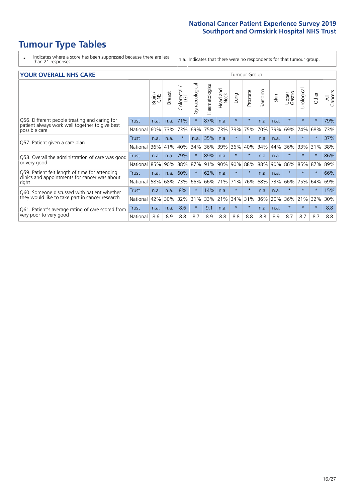# **Tumour Type Tables**

\* Indicates where a score has been suppressed because there are less than 21 responses.

n.a. Indicates that there were no respondents for that tumour group.

| <b>YOUR OVERALL NHS CARE</b>                                                |          |              |               |                            |                |                |                         |          | <b>Tumour Group</b> |         |      |                 |            |         |                |  |  |  |  |  |  |
|-----------------------------------------------------------------------------|----------|--------------|---------------|----------------------------|----------------|----------------|-------------------------|----------|---------------------|---------|------|-----------------|------------|---------|----------------|--|--|--|--|--|--|
|                                                                             |          | Brain<br>CNS | <b>Breast</b> | olorectal<br>LGT<br>$\cup$ | Gynaecological | Haematological | aad and<br>Neck<br>Head | Lung     | Prostate            | Sarcoma | Skin | Upper<br>Gastro | Urological | Other   | All<br>Cancers |  |  |  |  |  |  |
| Q56. Different people treating and caring for                               | Trust    | n.a.         | n.a.          | 71%                        | $\star$        | 87%            | n.a.                    | $\star$  | $\star$             | n.a.    | n.a. | $\star$         | $\star$    | $\star$ | 79%            |  |  |  |  |  |  |
| patient always work well together to give best<br>possible care             | National | 60%          | 73%           | 73%                        | 69%            | 75%            | 73%                     | 73%      | 75%                 | 70%     | 79%  | 69%             | 74%        | 68%     | 73%            |  |  |  |  |  |  |
| Q57. Patient given a care plan                                              | Trust    | n.a.         | n.a.          | $\star$                    | n.a.           | 35%            | n.a.                    | $\star$  | $\star$             | n.a.    | n.a. | $^\star$        | $\star$    | $\star$ | 37%            |  |  |  |  |  |  |
|                                                                             | National | 36%          | 41%           | 40%                        | 34%            | 36%            | 39%                     | 36%      | 40%                 | 34%     | 44%  | 36%             | 33%        | 31%     | 38%            |  |  |  |  |  |  |
| Q58. Overall the administration of care was good                            | Trust    | n.a.         | n.a.          | 79%                        | $\star$        | 89%            | n.a.                    | $\star$  | $\star$             | n.a.    | n.a. | $\star$         |            | $\ast$  | 86%            |  |  |  |  |  |  |
| or very good                                                                | National | 85%          | 90%           | 88%                        | 87%            | 91%            | 90%                     | 90%      | 88%                 | 88%     | 90%  | 86%             | 85%        | 87%     | 89%            |  |  |  |  |  |  |
| Q59. Patient felt length of time for attending                              | Trust    | n.a.         | n.a.          | 60%                        | $\star$        | 62%            | n.a.                    | $^\star$ | $\star$             | n.a.    | n.a. | $\star$         | $\star$    | $\star$ | 66%            |  |  |  |  |  |  |
| clinics and appointments for cancer was about<br>right                      | National | 58%          | 68%           | 73%                        | 66%            |                | 66% 71%                 | 71%      | 76%                 | 68%     | 73%  | 66%             | 75%        | 64%     | 69%            |  |  |  |  |  |  |
| Q60. Someone discussed with patient whether                                 | Trust    | n.a.         | n.a.          | 8%                         | $\star$        | 14%            | n.a.                    | $\star$  | $\star$             | n.a.    | n.a. | $\star$         | $\star$    | $\star$ | 15%            |  |  |  |  |  |  |
| they would like to take part in cancer research                             | National | 42%          | 30%           | 32%                        | 31%            | 33%            | 21%                     | 34%      | 31%                 | 36%     | 20%  | 36%             | 21%        | 32%     | 30%            |  |  |  |  |  |  |
| Q61. Patient's average rating of care scored from<br>very poor to very good | Trust    | n.a.         | n.a.          | 8.6                        | $\star$        | 9.1            | n.a.                    | $\star$  | $\star$             | n.a.    | n.a. | $\star$         | $\star$    | $\star$ | 8.8            |  |  |  |  |  |  |
|                                                                             | National | 8.6          | 8.9           | 8.8                        | 8.7            | 8.9            | 8.8                     | 8.8      | 8.8                 | 8.8     | 8.9  | 8.7             | 8.7        | 8.7     | 8.8            |  |  |  |  |  |  |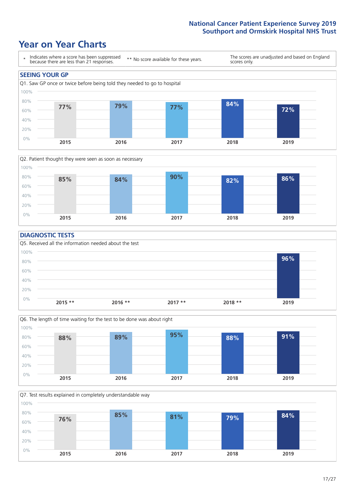# **Year on Year Charts**





#### **DIAGNOSTIC TESTS**





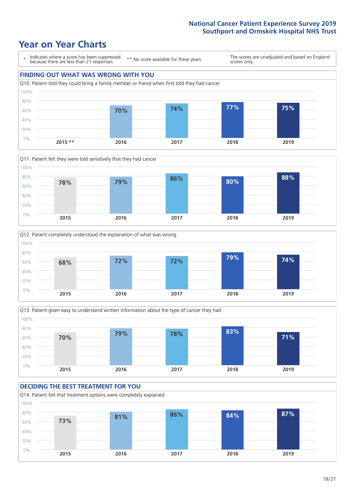# **Year on Year Charts**









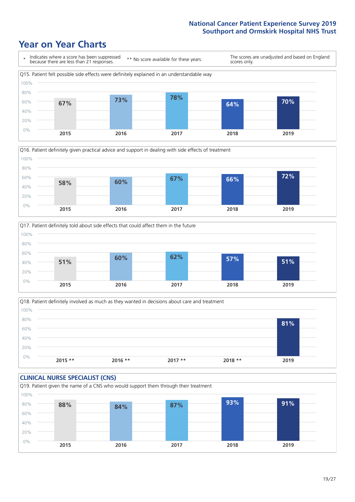# **Year on Year Charts**







Q18. Patient definitely involved as much as they wanted in decisions about care and treatment  $0%$ 20% 40% 60% 80% 100% **2015 \*\* 2016 \*\* 2017 \*\* 2018 \*\* 2019 81%**

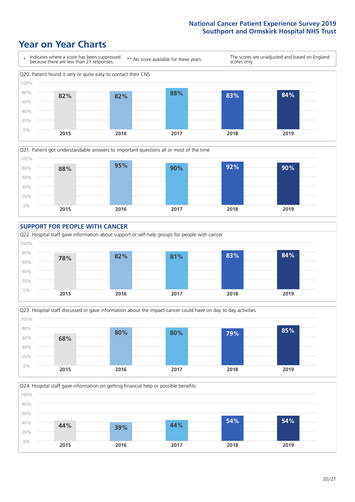# **Year on Year Charts**













 $20/27$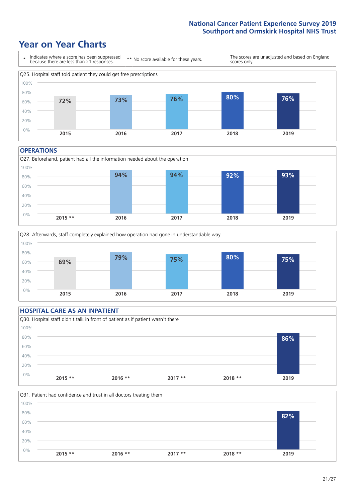# **Year on Year Charts**



#### **OPERATIONS**





### **HOSPITAL CARE AS AN INPATIENT** Q30. Hospital staff didn't talk in front of patient as if patient wasn't there 0% 20% 40% 60% 80% 100% **2015 \*\* 2016 \*\* 2017 \*\* 2018 \*\* 2019 86%**

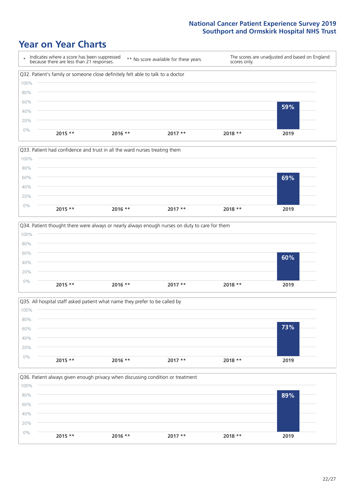### **Year on Year Charts**









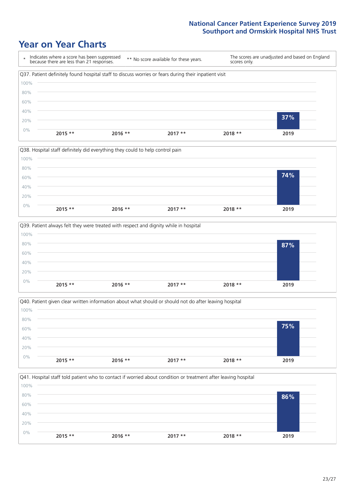## **Year on Year Charts**









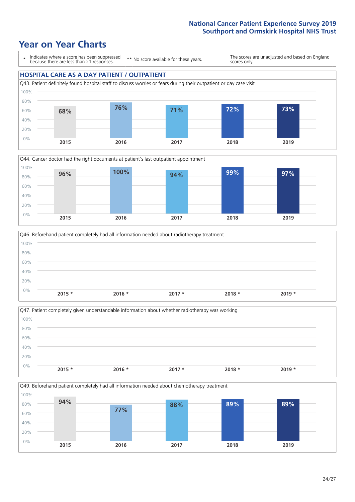### **Year on Year Charts**

\* Indicates where a score has been suppressed because there are less than 21 responses. \*\* No score available for these years. The scores are unadjusted and based on England scores only. **HOSPITAL CARE AS A DAY PATIENT / OUTPATIENT** Q43. Patient definitely found hospital staff to discuss worries or fears during their outpatient or day case visit 0% 20% 40% 60% 80% 100% **2015 2016 2017 2018 2019 68% 76% 71% 72% 73%**







Q49. Beforehand patient completely had all information needed about chemotherapy treatment

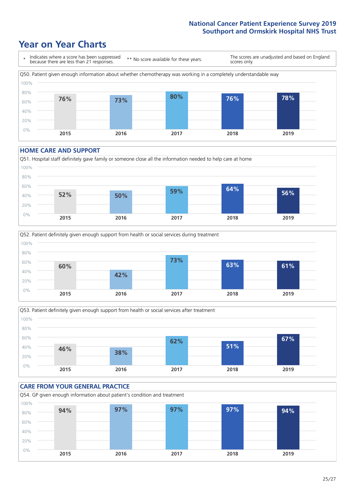# **Year on Year Charts**



#### **HOME CARE AND SUPPORT**







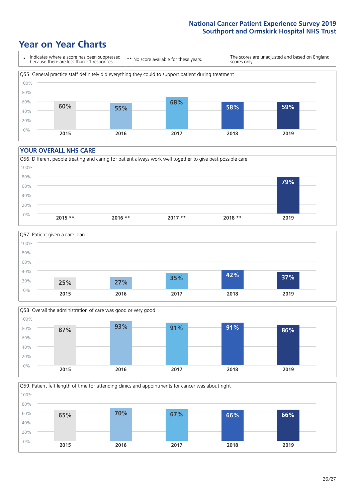# **Year on Year Charts**



#### **YOUR OVERALL NHS CARE**







Q59. Patient felt length of time for attending clinics and appointments for cancer was about right